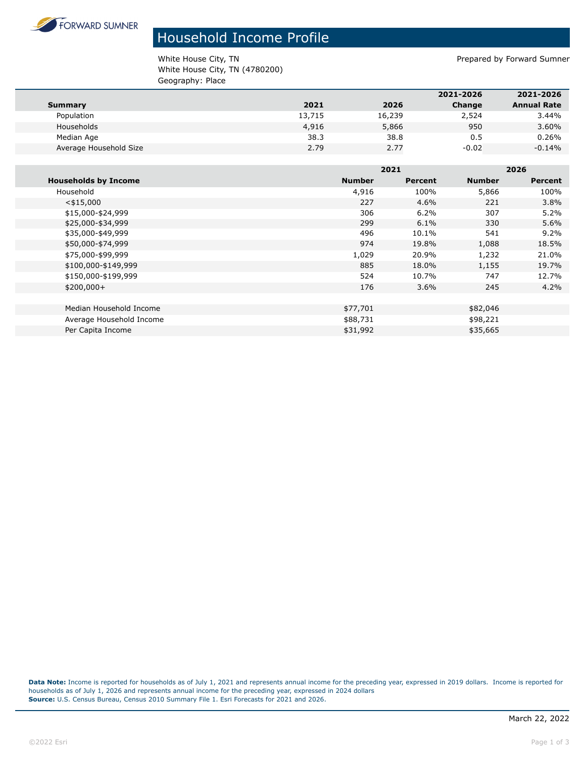

## Household Income Profile

White House City, TN **Prepared by Forward Sumner** White House City, TN (4780200) Geography: Place

|                        |        |        | 2021-2026 | 2021-2026          |
|------------------------|--------|--------|-----------|--------------------|
| Summary                | 2021   | 2026   | Change    | <b>Annual Rate</b> |
| Population             | 13,715 | 16,239 | 2,524     | 3.44%              |
| Households             | 4,916  | 5,866  | 950       | 3.60%              |
| Median Age             | 38.3   | 38.8   | 0.5       | 0.26%              |
| Average Household Size | 2.79   | 2.77   | $-0.02$   | $-0.14%$           |
|                        |        |        |           |                    |

|                             | 2021          |                |               | 2026    |  |
|-----------------------------|---------------|----------------|---------------|---------|--|
| <b>Households by Income</b> | <b>Number</b> | <b>Percent</b> | <b>Number</b> | Percent |  |
| Household                   | 4,916         | 100%           | 5,866         | 100%    |  |
| $<$ \$15,000                | 227           | 4.6%           | 221           | 3.8%    |  |
| \$15,000-\$24,999           | 306           | 6.2%           | 307           | 5.2%    |  |
| \$25,000-\$34,999           | 299           | 6.1%           | 330           | 5.6%    |  |
| \$35,000-\$49,999           | 496           | 10.1%          | 541           | $9.2\%$ |  |
| \$50,000-\$74,999           | 974           | 19.8%          | 1,088         | 18.5%   |  |
| \$75,000-\$99,999           | 1,029         | 20.9%          | 1,232         | 21.0%   |  |
| \$100,000-\$149,999         | 885           | 18.0%          | 1,155         | 19.7%   |  |
| \$150,000-\$199,999         | 524           | 10.7%          | 747           | 12.7%   |  |
| $$200,000+$                 | 176           | $3.6\%$        | 245           | 4.2%    |  |
|                             |               |                |               |         |  |
| Median Household Income     | \$77,701      |                | \$82,046      |         |  |
| Average Household Income    | \$88,731      |                | \$98,221      |         |  |
| Per Capita Income           | \$31,992      |                | \$35,665      |         |  |

Data Note: Income is reported for households as of July 1, 2021 and represents annual income for the preceding year, expressed in 2019 dollars. Income is reported for households as of July 1, 2026 and represents annual income for the preceding year, expressed in 2024 dollars **Source:** U.S. Census Bureau, Census 2010 Summary File 1. Esri Forecasts for 2021 and 2026.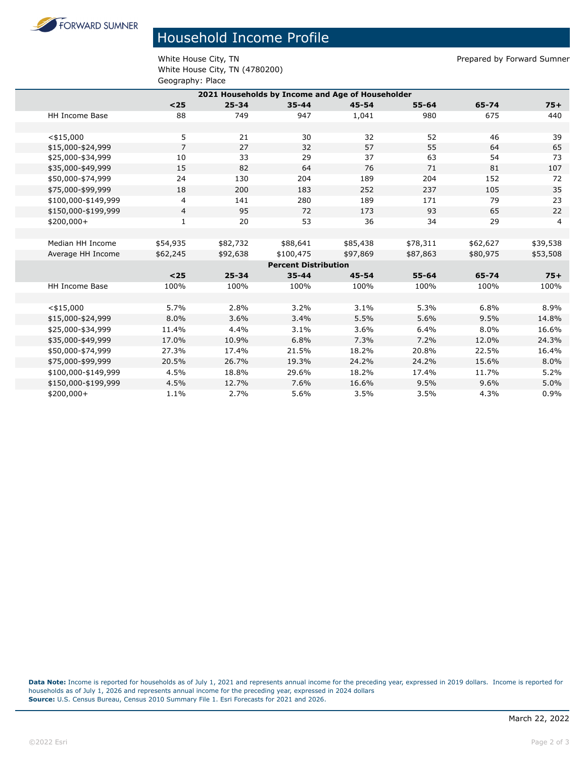**FORWARD SUMNER** 

## Household Income Profile

White House City, TN **Prepared by Forward Sumner** White House City, TN (4780200) Geography: Place

| 2021 Households by Income and Age of Householder |                             |                |           |           |           |           |          |          |
|--------------------------------------------------|-----------------------------|----------------|-----------|-----------|-----------|-----------|----------|----------|
|                                                  |                             | $25$           | $25 - 34$ | $35 - 44$ | $45 - 54$ | $55 - 64$ | 65-74    | $75+$    |
|                                                  | <b>HH Income Base</b>       | 88             | 749       | 947       | 1,041     | 980       | 675      | 440      |
|                                                  |                             |                |           |           |           |           |          |          |
|                                                  | $<$ \$15,000                | 5              | 21        | 30        | 32        | 52        | 46       | 39       |
|                                                  | \$15,000-\$24,999           | $\overline{7}$ | 27        | 32        | 57        | 55        | 64       | 65       |
|                                                  | \$25,000-\$34,999           | 10             | 33        | 29        | 37        | 63        | 54       | 73       |
|                                                  | \$35,000-\$49,999           | 15             | 82        | 64        | 76        | 71        | 81       | 107      |
|                                                  | \$50,000-\$74,999           | 24             | 130       | 204       | 189       | 204       | 152      | 72       |
|                                                  | \$75,000-\$99,999           | 18             | 200       | 183       | 252       | 237       | 105      | 35       |
|                                                  | \$100,000-\$149,999         | 4              | 141       | 280       | 189       | 171       | 79       | 23       |
|                                                  | \$150,000-\$199,999         | $\overline{4}$ | 95        | 72        | 173       | 93        | 65       | 22       |
|                                                  | \$200,000+                  | $\mathbf{1}$   | 20        | 53        | 36        | 34        | 29       | 4        |
|                                                  |                             |                |           |           |           |           |          |          |
|                                                  | Median HH Income            | \$54,935       | \$82,732  | \$88,641  | \$85,438  | \$78,311  | \$62,627 | \$39,538 |
|                                                  | Average HH Income           | \$62,245       | \$92,638  | \$100,475 | \$97,869  | \$87,863  | \$80,975 | \$53,508 |
|                                                  | <b>Percent Distribution</b> |                |           |           |           |           |          |          |
|                                                  |                             | $<25$          | $25 - 34$ | $35 - 44$ | $45 - 54$ | $55 - 64$ | 65-74    | $75+$    |
|                                                  | HH Income Base              | 100%           | 100%      | 100%      | 100%      | 100%      | 100%     | 100%     |
|                                                  |                             |                |           |           |           |           |          |          |
|                                                  | $<$ \$15,000                | 5.7%           | 2.8%      | 3.2%      | 3.1%      | 5.3%      | 6.8%     | 8.9%     |
|                                                  | \$15,000-\$24,999           | 8.0%           | 3.6%      | 3.4%      | 5.5%      | 5.6%      | 9.5%     | 14.8%    |
|                                                  | \$25,000-\$34,999           | 11.4%          | 4.4%      | 3.1%      | 3.6%      | 6.4%      | 8.0%     | 16.6%    |
|                                                  | \$35,000-\$49,999           | 17.0%          | 10.9%     | 6.8%      | 7.3%      | 7.2%      | 12.0%    | 24.3%    |
|                                                  | \$50,000-\$74,999           | 27.3%          | 17.4%     | 21.5%     | 18.2%     | 20.8%     | 22.5%    | 16.4%    |
|                                                  | \$75,000-\$99,999           | 20.5%          | 26.7%     | 19.3%     | 24.2%     | 24.2%     | 15.6%    | 8.0%     |
|                                                  | \$100,000-\$149,999         | 4.5%           | 18.8%     | 29.6%     | 18.2%     | 17.4%     | 11.7%    | 5.2%     |
|                                                  | \$150,000-\$199,999         | 4.5%           | 12.7%     | 7.6%      | 16.6%     | 9.5%      | 9.6%     | 5.0%     |
|                                                  | \$200,000+                  | 1.1%           | 2.7%      | 5.6%      | 3.5%      | 3.5%      | 4.3%     | 0.9%     |

**Data Note:** Income is reported for households as of July 1, 2021 and represents annual income for the preceding year, expressed in 2019 dollars. Income is reported for households as of July 1, 2026 and represents annual income for the preceding year, expressed in 2024 dollars **Source:** U.S. Census Bureau, Census 2010 Summary File 1. Esri Forecasts for 2021 and 2026.